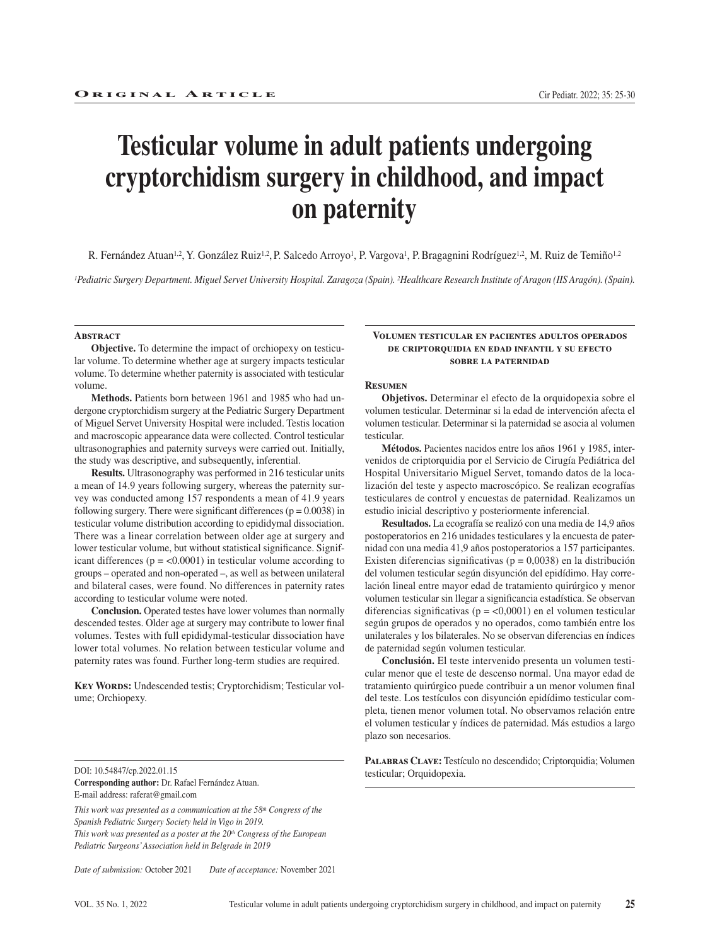# **Testicular volume in adult patients undergoing cryptorchidism surgery in childhood, and impact on paternity**

R. Fernández Atuan<sup>1,2</sup>, Y. González Ruiz<sup>1,2</sup>, P. Salcedo Arroyo<sup>1</sup>, P. Vargova<sup>1</sup>, P. Bragagnini Rodríguez<sup>1,2</sup>, M. Ruiz de Temiño<sup>1,2</sup>

*1Pediatric Surgery Department. Miguel Servet University Hospital. Zaragoza (Spain). 2Healthcare Research Institute of Aragon (IIS Aragón). (Spain).*

#### **ABSTRACT**

**Objective.** To determine the impact of orchiopexy on testicular volume. To determine whether age at surgery impacts testicular volume. To determine whether paternity is associated with testicular volume.

**Methods.** Patients born between 1961 and 1985 who had undergone cryptorchidism surgery at the Pediatric Surgery Department of Miguel Servet University Hospital were included. Testis location and macroscopic appearance data were collected. Control testicular ultrasonographies and paternity surveys were carried out. Initially, the study was descriptive, and subsequently, inferential.

**Results.** Ultrasonography was performed in 216 testicular units a mean of 14.9 years following surgery, whereas the paternity survey was conducted among 157 respondents a mean of 41.9 years following surgery. There were significant differences ( $p = 0.0038$ ) in testicular volume distribution according to epididymal dissociation. There was a linear correlation between older age at surgery and lower testicular volume, but without statistical significance. Significant differences ( $p = < 0.0001$ ) in testicular volume according to groups – operated and non-operated –, as well as between unilateral and bilateral cases, were found. No differences in paternity rates according to testicular volume were noted.

**Conclusion.** Operated testes have lower volumes than normally descended testes. Older age at surgery may contribute to lower final volumes. Testes with full epididymal-testicular dissociation have lower total volumes. No relation between testicular volume and paternity rates was found. Further long-term studies are required.

**KEY WORDS:** Undescended testis; Cryptorchidism; Testicular volume; Orchiopexy.

DOI: 10.54847/cp.2022.01.15 **Corresponding author:** Dr. Rafael Fernández Atuan. E-mail address: raferat@gmail.com

*This work was presented as a communication at the 58th Congress of the Spanish Pediatric Surgery Society held in Vigo in 2019. This work was presented as a poster at the 20th Congress of the European Pediatric Surgeons' Association held in Belgrade in 2019*

*Date of submission:* October 2021 *Date of acceptance:* November 2021

#### **Volumen testicular en pacientes adultos operados de criptorquidia en edad infantil y su efecto sobre la paternidad**

#### **Resumen**

**Objetivos.** Determinar el efecto de la orquidopexia sobre el volumen testicular. Determinar si la edad de intervención afecta el volumen testicular. Determinar si la paternidad se asocia al volumen testicular.

**Métodos.** Pacientes nacidos entre los años 1961 y 1985, intervenidos de criptorquidia por el Servicio de Cirugía Pediátrica del Hospital Universitario Miguel Servet, tomando datos de la localización del teste y aspecto macroscópico. Se realizan ecografías testiculares de control y encuestas de paternidad. Realizamos un estudio inicial descriptivo y posteriormente inferencial.

**Resultados.** La ecografía se realizó con una media de 14,9 años postoperatorios en 216 unidades testiculares y la encuesta de paternidad con una media 41,9 años postoperatorios a 157 participantes. Existen diferencias significativas ( $p = 0.0038$ ) en la distribución del volumen testicular según disyunción del epidídimo. Hay correlación lineal entre mayor edad de tratamiento quirúrgico y menor volumen testicular sin llegar a significancia estadística. Se observan diferencias significativas ( $p = <0,0001$ ) en el volumen testicular según grupos de operados y no operados, como también entre los unilaterales y los bilaterales. No se observan diferencias en índices de paternidad según volumen testicular.

**Conclusión.** El teste intervenido presenta un volumen testicular menor que el teste de descenso normal. Una mayor edad de tratamiento quirúrgico puede contribuir a un menor volumen final del teste. Los testículos con disyunción epidídimo testicular completa, tienen menor volumen total. No observamos relación entre el volumen testicular y índices de paternidad. Más estudios a largo plazo son necesarios.

**Palabras Clave:** Testículo no descendido; Criptorquidia; Volumen testicular; Orquidopexia.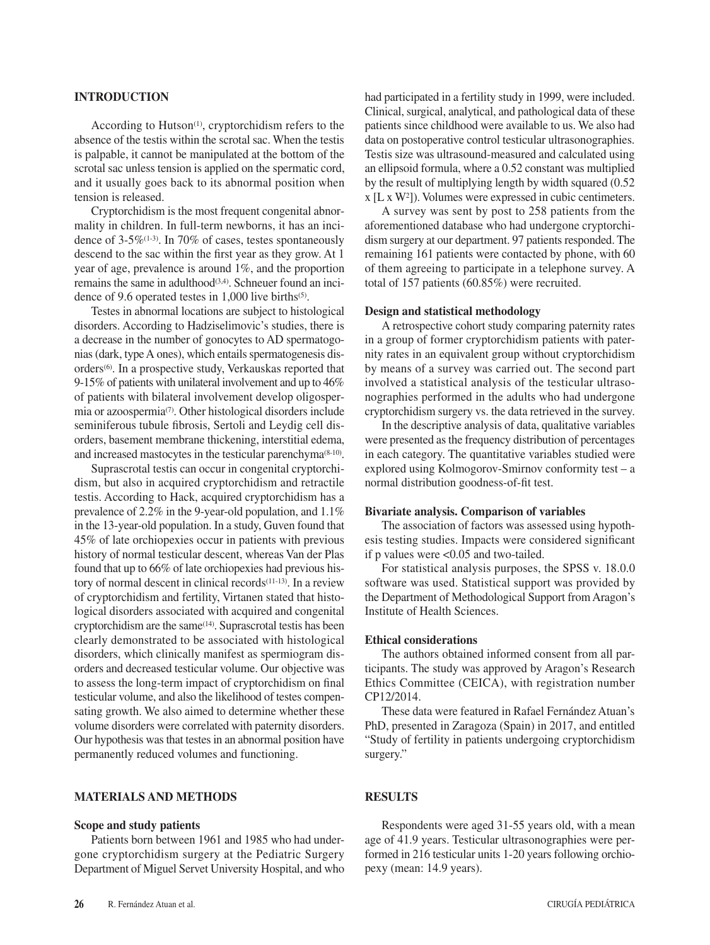## **INTRODUCTION**

According to Hutson $(1)$ , cryptorchidism refers to the absence of the testis within the scrotal sac. When the testis is palpable, it cannot be manipulated at the bottom of the scrotal sac unless tension is applied on the spermatic cord, and it usually goes back to its abnormal position when tension is released.

Cryptorchidism is the most frequent congenital abnormality in children. In full-term newborns, it has an incidence of  $3-5\%$ <sup>(1-3)</sup>. In 70% of cases, testes spontaneously descend to the sac within the first year as they grow. At 1 year of age, prevalence is around 1%, and the proportion remains the same in adulthood<sup>(3,4)</sup>. Schneuer found an incidence of 9.6 operated testes in 1,000 live births(5).

Testes in abnormal locations are subject to histological disorders. According to Hadziselimovic's studies, there is a decrease in the number of gonocytes to AD spermatogonias (dark, type A ones), which entails spermatogenesis disorders(6). In a prospective study, Verkauskas reported that 9-15% of patients with unilateral involvement and up to 46% of patients with bilateral involvement develop oligospermia or azoospermia(7). Other histological disorders include seminiferous tubule fibrosis, Sertoli and Leydig cell disorders, basement membrane thickening, interstitial edema, and increased mastocytes in the testicular parenchyma(8-10).

Suprascrotal testis can occur in congenital cryptorchidism, but also in acquired cryptorchidism and retractile testis. According to Hack, acquired cryptorchidism has a prevalence of 2.2% in the 9-year-old population, and 1.1% in the 13-year-old population. In a study, Guven found that 45% of late orchiopexies occur in patients with previous history of normal testicular descent, whereas Van der Plas found that up to 66% of late orchiopexies had previous history of normal descent in clinical records(11-13). In a review of cryptorchidism and fertility, Virtanen stated that histological disorders associated with acquired and congenital cryptorchidism are the same(14). Suprascrotal testis has been clearly demonstrated to be associated with histological disorders, which clinically manifest as spermiogram disorders and decreased testicular volume. Our objective was to assess the long-term impact of cryptorchidism on final testicular volume, and also the likelihood of testes compensating growth. We also aimed to determine whether these volume disorders were correlated with paternity disorders. Our hypothesis was that testes in an abnormal position have permanently reduced volumes and functioning.

## **MATERIALS AND METHODS**

#### **Scope and study patients**

Patients born between 1961 and 1985 who had undergone cryptorchidism surgery at the Pediatric Surgery Department of Miguel Servet University Hospital, and who had participated in a fertility study in 1999, were included. Clinical, surgical, analytical, and pathological data of these patients since childhood were available to us. We also had data on postoperative control testicular ultrasonographies. Testis size was ultrasound-measured and calculated using an ellipsoid formula, where a 0.52 constant was multiplied by the result of multiplying length by width squared (0.52 x [L x W2]). Volumes were expressed in cubic centimeters.

A survey was sent by post to 258 patients from the aforementioned database who had undergone cryptorchidism surgery at our department. 97 patients responded. The remaining 161 patients were contacted by phone, with 60 of them agreeing to participate in a telephone survey. A total of 157 patients (60.85%) were recruited.

### **Design and statistical methodology**

A retrospective cohort study comparing paternity rates in a group of former cryptorchidism patients with paternity rates in an equivalent group without cryptorchidism by means of a survey was carried out. The second part involved a statistical analysis of the testicular ultrasonographies performed in the adults who had undergone cryptorchidism surgery vs. the data retrieved in the survey.

In the descriptive analysis of data, qualitative variables were presented as the frequency distribution of percentages in each category. The quantitative variables studied were explored using Kolmogorov-Smirnov conformity test – a normal distribution goodness-of-fit test.

#### **Bivariate analysis. Comparison of variables**

The association of factors was assessed using hypothesis testing studies. Impacts were considered significant if p values were <0.05 and two-tailed.

For statistical analysis purposes, the SPSS v. 18.0.0 software was used. Statistical support was provided by the Department of Methodological Support from Aragon's Institute of Health Sciences.

## **Ethical considerations**

The authors obtained informed consent from all participants. The study was approved by Aragon's Research Ethics Committee (CEICA), with registration number CP12/2014.

These data were featured in Rafael Fernández Atuan's PhD, presented in Zaragoza (Spain) in 2017, and entitled "Study of fertility in patients undergoing cryptorchidism surgery."

# **RESULTS**

Respondents were aged 31-55 years old, with a mean age of 41.9 years. Testicular ultrasonographies were performed in 216 testicular units 1-20 years following orchiopexy (mean: 14.9 years).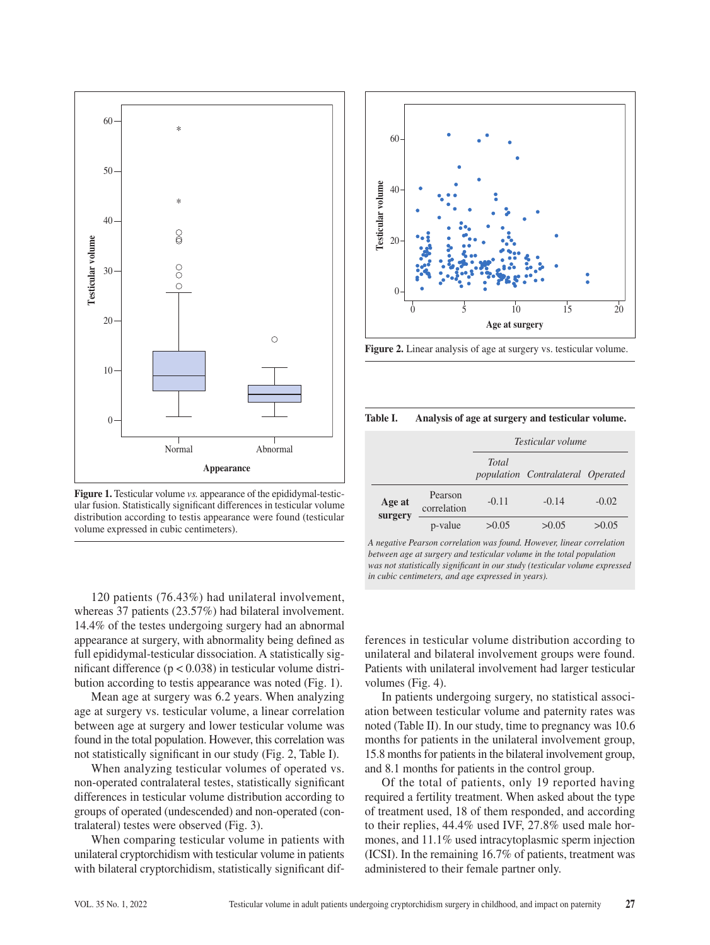

**Figure 1.** Testicular volume *vs.* appearance of the epididymal-testicular fusion. Statistically significant differences in testicular volume distribution according to testis appearance were found (testicular volume expressed in cubic centimeters).

120 patients (76.43%) had unilateral involvement, whereas 37 patients (23.57%) had bilateral involvement. 14.4% of the testes undergoing surgery had an abnormal appearance at surgery, with abnormality being defined as full epididymal-testicular dissociation. A statistically significant difference  $(p < 0.038)$  in testicular volume distribution according to testis appearance was noted (Fig. 1).

Mean age at surgery was 6.2 years. When analyzing age at surgery vs. testicular volume, a linear correlation between age at surgery and lower testicular volume was found in the total population. However, this correlation was not statistically significant in our study (Fig. 2, Table I).

When analyzing testicular volumes of operated vs. non-operated contralateral testes, statistically significant differences in testicular volume distribution according to groups of operated (undescended) and non-operated (contralateral) testes were observed (Fig. 3).

When comparing testicular volume in patients with unilateral cryptorchidism with testicular volume in patients with bilateral cryptorchidism, statistically significant dif-



**Figure 2.** Linear analysis of age at surgery vs. testicular volume.

**Table I. Analysis of age at surgery and testicular volume.**

|                   |                        | Testicular volume |                                   |         |  |
|-------------------|------------------------|-------------------|-----------------------------------|---------|--|
|                   |                        | <b>Total</b>      | population Contralateral Operated |         |  |
| Age at<br>surgery | Pearson<br>correlation | $-0.11$           | $-0.14$                           | $-0.02$ |  |
|                   | p-value                | >0.05             | >0.05                             | >0.05   |  |

*A negative Pearson correlation was found. However, linear correlation between age at surgery and testicular volume in the total population was not statistically significant in our study (testicular volume expressed in cubic centimeters, and age expressed in years).*

ferences in testicular volume distribution according to unilateral and bilateral involvement groups were found. Patients with unilateral involvement had larger testicular volumes (Fig. 4).

In patients undergoing surgery, no statistical association between testicular volume and paternity rates was noted (Table II). In our study, time to pregnancy was 10.6 months for patients in the unilateral involvement group, 15.8 months for patients in the bilateral involvement group, and 8.1 months for patients in the control group.

Of the total of patients, only 19 reported having required a fertility treatment. When asked about the type of treatment used, 18 of them responded, and according to their replies, 44.4% used IVF, 27.8% used male hormones, and 11.1% used intracytoplasmic sperm injection (ICSI). In the remaining 16.7% of patients, treatment was administered to their female partner only.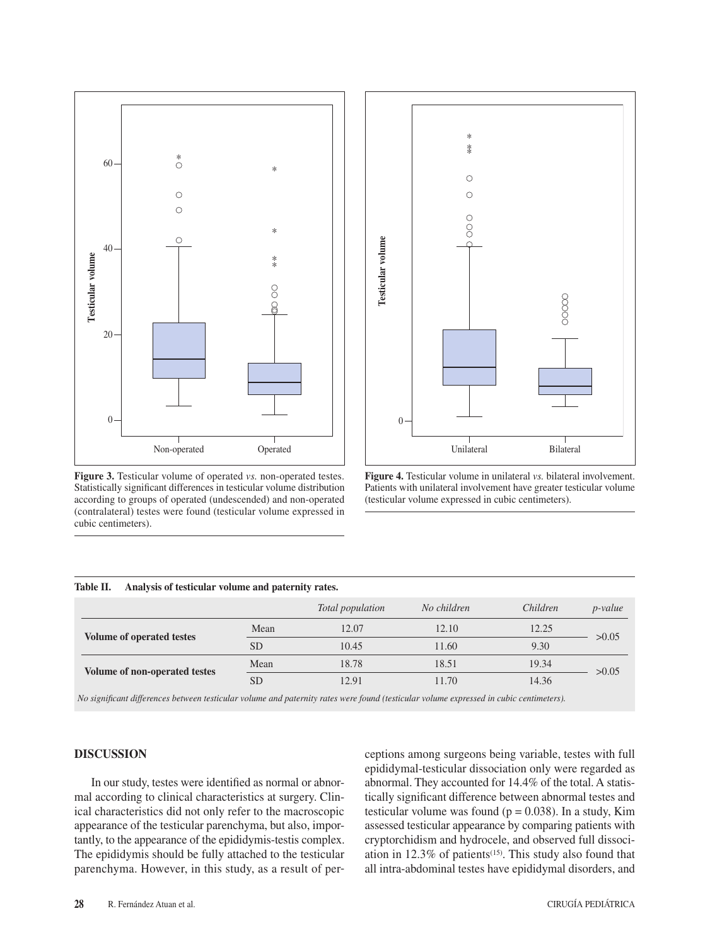

**Figure 3.** Testicular volume of operated *vs.* non-operated testes. Statistically significant differences in testicular volume distribution according to groups of operated (undescended) and non-operated (contralateral) testes were found (testicular volume expressed in cubic centimeters).



**Figure 4.** Testicular volume in unilateral *vs.* bilateral involvement. Patients with unilateral involvement have greater testicular volume (testicular volume expressed in cubic centimeters).

#### **Table II. Analysis of testicular volume and paternity rates.**

|                                      |           | Total population | No children | Children | <i>p</i> -value |
|--------------------------------------|-----------|------------------|-------------|----------|-----------------|
| <b>Volume of operated testes</b>     | Mean      | 12.07            | 12.10       | 12.25    | >0.05           |
|                                      | SD.       | 10.45            | 11.60       | 9.30     |                 |
| <b>Volume of non-operated testes</b> | Mean      | 18.78            | 18.51       | 19.34    | >0.05           |
|                                      | <b>SD</b> | 12.91            | 11.70       | 14.36    |                 |

*No significant differences between testicular volume and paternity rates were found (testicular volume expressed in cubic centimeters).*

# **DISCUSSION**

In our study, testes were identified as normal or abnormal according to clinical characteristics at surgery. Clinical characteristics did not only refer to the macroscopic appearance of the testicular parenchyma, but also, importantly, to the appearance of the epididymis-testis complex. The epididymis should be fully attached to the testicular parenchyma. However, in this study, as a result of perceptions among surgeons being variable, testes with full epididymal-testicular dissociation only were regarded as abnormal. They accounted for 14.4% of the total. A statistically significant difference between abnormal testes and testicular volume was found ( $p = 0.038$ ). In a study, Kim assessed testicular appearance by comparing patients with cryptorchidism and hydrocele, and observed full dissociation in  $12.3\%$  of patients<sup> $(15)$ </sup>. This study also found that all intra-abdominal testes have epididymal disorders, and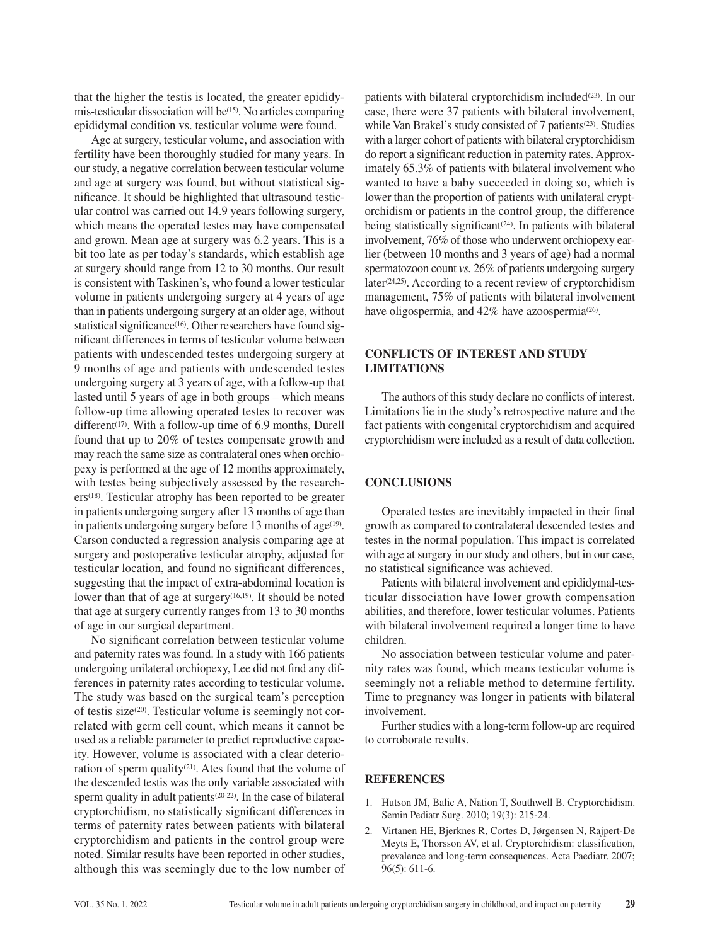that the higher the testis is located, the greater epididymis-testicular dissociation will be $(15)$ . No articles comparing epididymal condition vs. testicular volume were found.

Age at surgery, testicular volume, and association with fertility have been thoroughly studied for many years. In our study, a negative correlation between testicular volume and age at surgery was found, but without statistical significance. It should be highlighted that ultrasound testicular control was carried out 14.9 years following surgery, which means the operated testes may have compensated and grown. Mean age at surgery was 6.2 years. This is a bit too late as per today's standards, which establish age at surgery should range from 12 to 30 months. Our result is consistent with Taskinen's, who found a lower testicular volume in patients undergoing surgery at 4 years of age than in patients undergoing surgery at an older age, without statistical significance<sup>(16)</sup>. Other researchers have found significant differences in terms of testicular volume between patients with undescended testes undergoing surgery at 9 months of age and patients with undescended testes undergoing surgery at 3 years of age, with a follow-up that lasted until 5 years of age in both groups – which means follow-up time allowing operated testes to recover was different<sup> $(17)$ </sup>. With a follow-up time of 6.9 months, Durell found that up to 20% of testes compensate growth and may reach the same size as contralateral ones when orchiopexy is performed at the age of 12 months approximately, with testes being subjectively assessed by the research $ers<sup>(18)</sup>$ . Testicular atrophy has been reported to be greater in patients undergoing surgery after 13 months of age than in patients undergoing surgery before  $13$  months of age<sup> $(19)$ </sup>. Carson conducted a regression analysis comparing age at surgery and postoperative testicular atrophy, adjusted for testicular location, and found no significant differences, suggesting that the impact of extra-abdominal location is lower than that of age at surgery<sup>(16,19)</sup>. It should be noted that age at surgery currently ranges from 13 to 30 months of age in our surgical department.

No significant correlation between testicular volume and paternity rates was found. In a study with 166 patients undergoing unilateral orchiopexy, Lee did not find any differences in paternity rates according to testicular volume. The study was based on the surgical team's perception of testis size(20). Testicular volume is seemingly not correlated with germ cell count, which means it cannot be used as a reliable parameter to predict reproductive capacity. However, volume is associated with a clear deterioration of sperm quality<sup>(21)</sup>. Ates found that the volume of the descended testis was the only variable associated with sperm quality in adult patients(20-22). In the case of bilateral cryptorchidism, no statistically significant differences in terms of paternity rates between patients with bilateral cryptorchidism and patients in the control group were noted. Similar results have been reported in other studies, although this was seemingly due to the low number of

patients with bilateral cryptorchidism included<sup> $(23)$ </sup>. In our case, there were 37 patients with bilateral involvement, while Van Brakel's study consisted of 7 patients<sup>(23)</sup>. Studies with a larger cohort of patients with bilateral cryptorchidism do report a significant reduction in paternity rates. Approximately 65.3% of patients with bilateral involvement who wanted to have a baby succeeded in doing so, which is lower than the proportion of patients with unilateral cryptorchidism or patients in the control group, the difference being statistically significant<sup> $(24)$ </sup>. In patients with bilateral involvement, 76% of those who underwent orchiopexy earlier (between 10 months and 3 years of age) had a normal spermatozoon count *vs.* 26% of patients undergoing surgery  $later<sup>(24,25)</sup>$ . According to a recent review of cryptorchidism management, 75% of patients with bilateral involvement have oligospermia, and 42% have azoospermia<sup>(26)</sup>.

# **CONFLICTS OF INTEREST AND STUDY LIMITATIONS**

The authors of this study declare no conflicts of interest. Limitations lie in the study's retrospective nature and the fact patients with congenital cryptorchidism and acquired cryptorchidism were included as a result of data collection.

# **CONCLUSIONS**

Operated testes are inevitably impacted in their final growth as compared to contralateral descended testes and testes in the normal population. This impact is correlated with age at surgery in our study and others, but in our case, no statistical significance was achieved.

Patients with bilateral involvement and epididymal-testicular dissociation have lower growth compensation abilities, and therefore, lower testicular volumes. Patients with bilateral involvement required a longer time to have children.

No association between testicular volume and paternity rates was found, which means testicular volume is seemingly not a reliable method to determine fertility. Time to pregnancy was longer in patients with bilateral involvement.

Further studies with a long-term follow-up are required to corroborate results.

# **REFERENCES**

- 1. Hutson JM, Balic A, Nation T, Southwell B. Cryptorchidism. Semin Pediatr Surg. 2010; 19(3): 215-24.
- 2. Virtanen HE, Bjerknes R, Cortes D, Jørgensen N, Rajpert-De Meyts E, Thorsson AV, et al. Cryptorchidism: classification, prevalence and long-term consequences. Acta Paediatr. 2007; 96(5): 611-6.